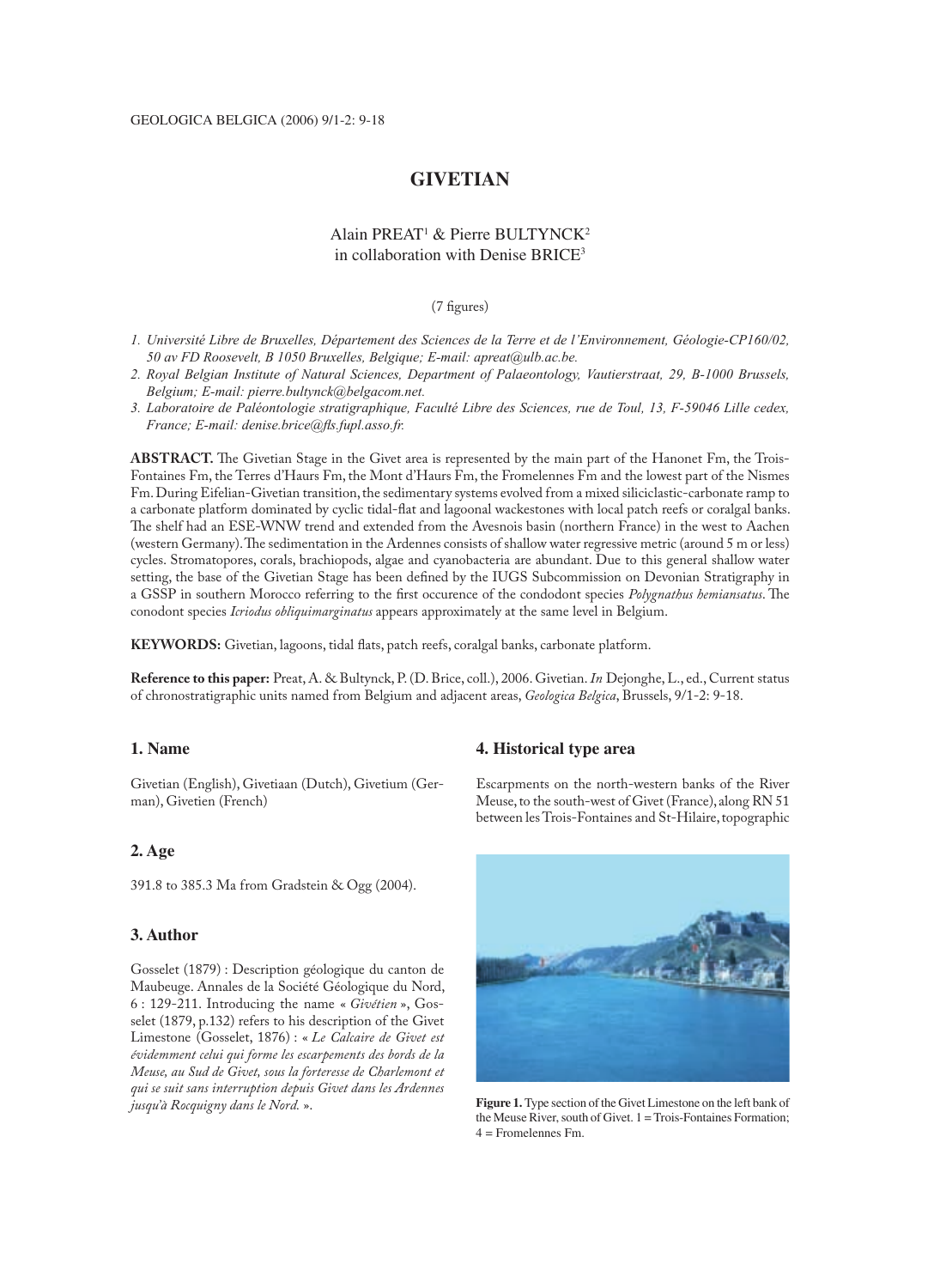# **GIVETIAN**

# Alain PREAT<sup>1</sup> & Pierre BULTYNCK<sup>2</sup> in collaboration with Denise BRICE<sup>3</sup>

 $(7$  figures)

- *1. Université Libre de Bruxelles, Département des Sciences de la Terre et de l'Environnement, Géologie-CP160/02, 50 av FD Roosevelt, B 1050 Bruxelles, Belgique; E-mail: apreat@ulb.ac.be.*
- *2. Royal Belgian Institute of Natural Sciences, Department of Palaeontology, Vautierstraat, 29, B-1000 Brussels, Belgium; E-mail: pierre.bultynck@belgacom.net.*
- *3. Laboratoire de Paléontologie stratigraphique, Faculté Libre des Sciences, rue de Toul, 13, F-59046 Lille cedex, France; E-mail: denise.brice@fls.fupl.asso.fr.*

**ABSTRACT.** The Givetian Stage in the Givet area is represented by the main part of the Hanonet Fm, the Trois-Fontaines Fm, the Terres d'Haurs Fm, the Mont d'Haurs Fm, the Fromelennes Fm and the lowest part of the Nismes Fm. During Eifelian-Givetian transition, the sedimentary systems evolved from a mixed siliciclastic-carbonate ramp to a carbonate platform dominated by cyclic tidal-flat and lagoonal wackestones with local patch reefs or coralgal banks. The shelf had an ESE-WNW trend and extended from the Avesnois basin (northern France) in the west to Aachen (western Germany). The sedimentation in the Ardennes consists of shallow water regressive metric (around 5 m or less) cycles. Stromatopores, corals, brachiopods, algae and cyanobacteria are abundant. Due to this general shallow water setting, the base of the Givetian Stage has been defined by the IUGS Subcommission on Devonian Stratigraphy in a GSSP in southern Morocco referring to the first occurence of the condodont species *Polygnathus hemiansatus*. The conodont species *Icriodus obliquimarginatus* appears approximately at the same level in Belgium.

KEYWORDS: Givetian, lagoons, tidal flats, patch reefs, coralgal banks, carbonate platform.

**Reference to this paper:** Preat, A. & Bultynck, P. (D. Brice, coll.), 2006. Givetian. *In* Dejonghe, L., ed., Current status of chronostratigraphic units named from Belgium and adjacent areas, *Geologica Belgica*, Brussels, 9/1-2: 9-18.

## **1. Name**

Givetian (English), Givetiaan (Dutch), Givetium (German), Givetien (French)

# **2. Age**

391.8 to 385.3 Ma from Gradstein & Ogg (2004).

## **3. Author**

Gosselet (1879) : Description géologique du canton de Maubeuge. Annales de la Société Géologique du Nord, 6 : 129-211. Introducing the name « *Givétien* », Gosselet (1879, p.132) refers to his description of the Givet Limestone (Gosselet, 1876) : « *Le Calcaire de Givet est évidemment celui qui forme les escarpements des bords de la Meuse, au Sud de Givet, sous la forteresse de Charlemont et qui se suit sans interruption depuis Givet dans les Ardennes jusqu'à Rocquigny dans le Nord.* ».

### **4. Historical type area**

Escarpments on the north-western banks of the River Meuse, to the south-west of Givet (France), along RN 51 between les Trois-Fontaines and St-Hilaire, topographic



**Figure 1.** Type section of the Givet Limestone on the left bank of the Meuse River, south of Givet. 1 = Trois-Fontaines Formation; 4 = Fromelennes Fm.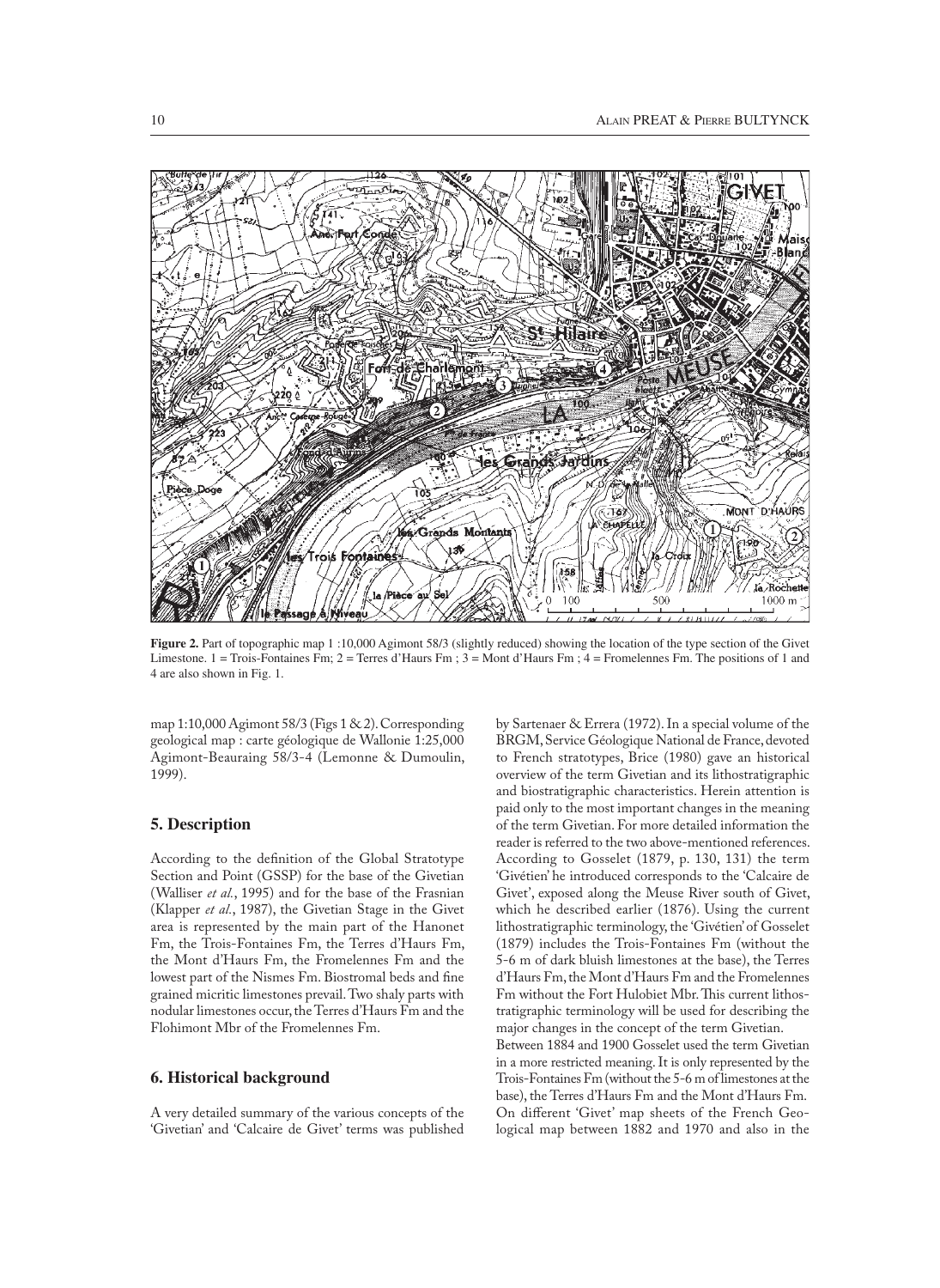

**Figure 2.** Part of topographic map 1:10,000 Agimont 58/3 (slightly reduced) showing the location of the type section of the Givet Limestone.  $1 = \text{Trois-Fontaines Fm}$ ;  $2 = \text{Terres d'Hours Fm}$ ;  $3 = \text{Mont d'Hours Fm}$ ;  $4 = \text{Fromelements Fm}$ . The positions of 1 and 4 are also shown in Fig. 1.

map 1:10,000 Agimont 58/3 (Figs 1 & 2). Corresponding geological map : carte géologique de Wallonie 1:25,000 Agimont-Beauraing 58/3-4 (Lemonne & Dumoulin, 1999).

## **5. Description**

According to the definition of the Global Stratotype Section and Point (GSSP) for the base of the Givetian (Walliser *et al.*, 1995) and for the base of the Frasnian (Klapper *et al.*, 1987), the Givetian Stage in the Givet area is represented by the main part of the Hanonet Fm, the Trois-Fontaines Fm, the Terres d'Haurs Fm, the Mont d'Haurs Fm, the Fromelennes Fm and the lowest part of the Nismes Fm. Biostromal beds and fine grained micritic limestones prevail. Two shaly parts with nodular limestones occur, the Terres d'Haurs Fm and the Flohimont Mbr of the Fromelennes Fm.

## **6. Historical background**

A very detailed summary of the various concepts of the 'Givetian' and 'Calcaire de Givet' terms was published

by Sartenaer & Errera (1972). In a special volume of the BRGM, Service Géologique National de France, devoted to French stratotypes, Brice (1980) gave an historical overview of the term Givetian and its lithostratigraphic and biostratigraphic characteristics. Herein attention is paid only to the most important changes in the meaning of the term Givetian. For more detailed information the reader is referred to the two above-mentioned references. According to Gosselet (1879, p. 130, 131) the term 'Givétien' he introduced corresponds to the 'Calcaire de Givet', exposed along the Meuse River south of Givet, which he described earlier (1876). Using the current lithostratigraphic terminology, the 'Givétien' of Gosselet (1879) includes the Trois-Fontaines Fm (without the 5-6 m of dark bluish limestones at the base), the Terres d'Haurs Fm, the Mont d'Haurs Fm and the Fromelennes Fm without the Fort Hulobiet Mbr. This current lithostratigraphic terminology will be used for describing the major changes in the concept of the term Givetian. Between 1884 and 1900 Gosselet used the term Givetian in a more restricted meaning. It is only represented by the Trois-Fontaines Fm (without the 5-6 m of limestones at the base), the Terres d'Haurs Fm and the Mont d'Haurs Fm. On different 'Givet' map sheets of the French Geological map between 1882 and 1970 and also in the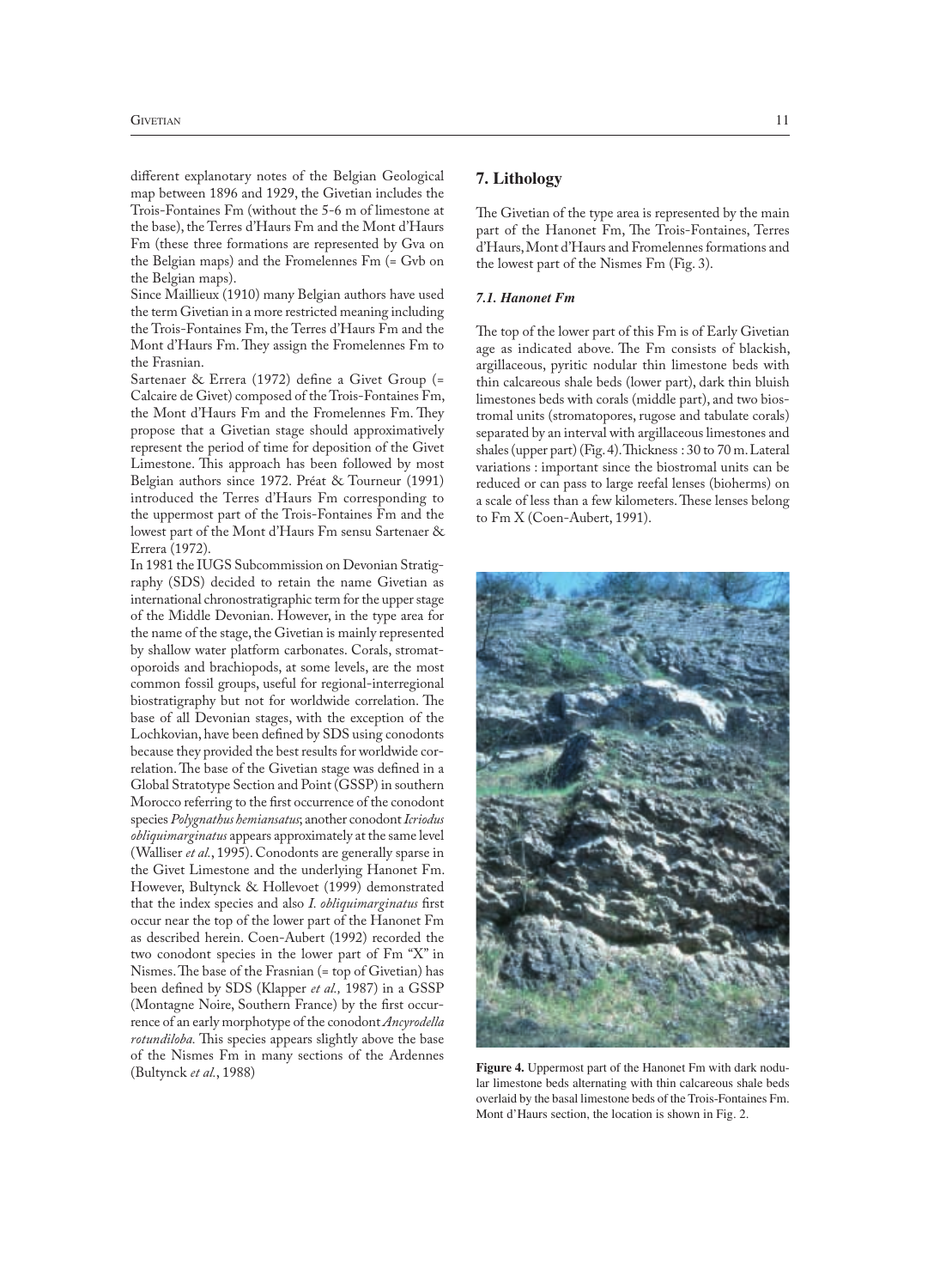different explanotary notes of the Belgian Geological map between 1896 and 1929, the Givetian includes the Trois-Fontaines Fm (without the 5-6 m of limestone at the base), the Terres d'Haurs Fm and the Mont d'Haurs Fm (these three formations are represented by Gva on the Belgian maps) and the Fromelennes Fm (= Gvb on the Belgian maps).

Since Maillieux (1910) many Belgian authors have used the term Givetian in a more restricted meaning including the Trois-Fontaines Fm, the Terres d'Haurs Fm and the Mont d'Haurs Fm. They assign the Fromelennes Fm to the Frasnian.

Sartenaer & Errera (1972) define a Givet Group (= Calcaire de Givet) composed of the Trois-Fontaines Fm, the Mont d'Haurs Fm and the Fromelennes Fm. They propose that a Givetian stage should approximatively represent the period of time for deposition of the Givet Limestone. This approach has been followed by most Belgian authors since 1972. Préat & Tourneur (1991) introduced the Terres d'Haurs Fm corresponding to the uppermost part of the Trois-Fontaines Fm and the lowest part of the Mont d'Haurs Fm sensu Sartenaer & Errera (1972).

In 1981 the IUGS Subcommission on Devonian Stratigraphy (SDS) decided to retain the name Givetian as international chronostratigraphic term for the upper stage of the Middle Devonian. However, in the type area for the name of the stage, the Givetian is mainly represented by shallow water platform carbonates. Corals, stromatoporoids and brachiopods, at some levels, are the most common fossil groups, useful for regional-interregional biostratigraphy but not for worldwide correlation. The base of all Devonian stages, with the exception of the Lochkovian, have been defined by SDS using conodonts because they provided the best results for worldwide correlation. The base of the Givetian stage was defined in a Global Stratotype Section and Point (GSSP) in southern Morocco referring to the first occurrence of the conodont species *Polygnathus hemiansatus*; another conodont *Icriodus obliquimarginatus* appears approximately at the same level (Walliser *et al.*, 1995). Conodonts are generally sparse in the Givet Limestone and the underlying Hanonet Fm. However, Bultynck & Hollevoet (1999) demonstrated that the index species and also *I. obliquimarginatus* first occur near the top of the lower part of the Hanonet Fm as described herein. Coen-Aubert (1992) recorded the two conodont species in the lower part of Fm "X" in Nismes. The base of the Frasnian (= top of Givetian) has been defined by SDS (Klapper et al., 1987) in a GSSP (Montagne Noire, Southern France) by the first occurrence of an early morphotype of the conodont *Ancyrodella rotundiloba*. This species appears slightly above the base of the Nismes Fm in many sections of the Ardennes (Bultynck *et al.*, 1988)

### **7. Lithology**

The Givetian of the type area is represented by the main part of the Hanonet Fm, The Trois-Fontaines, Terres d'Haurs, Mont d'Haurs and Fromelennes formations and the lowest part of the Nismes Fm (Fig. 3).

### *7.1. Hanonet Fm*

The top of the lower part of this Fm is of Early Givetian age as indicated above. The Fm consists of blackish, argillaceous, pyritic nodular thin limestone beds with thin calcareous shale beds (lower part), dark thin bluish limestones beds with corals (middle part), and two biostromal units (stromatopores, rugose and tabulate corals) separated by an interval with argillaceous limestones and shales (upper part) (Fig. 4). Thickness:  $30$  to  $70$  m. Lateral variations : important since the biostromal units can be reduced or can pass to large reefal lenses (bioherms) on a scale of less than a few kilometers. These lenses belong to Fm X (Coen-Aubert, 1991).



**Figure 4.** Uppermost part of the Hanonet Fm with dark nodular limestone beds alternating with thin calcareous shale beds overlaid by the basal limestone beds of the Trois-Fontaines Fm. Mont d'Haurs section, the location is shown in Fig. 2.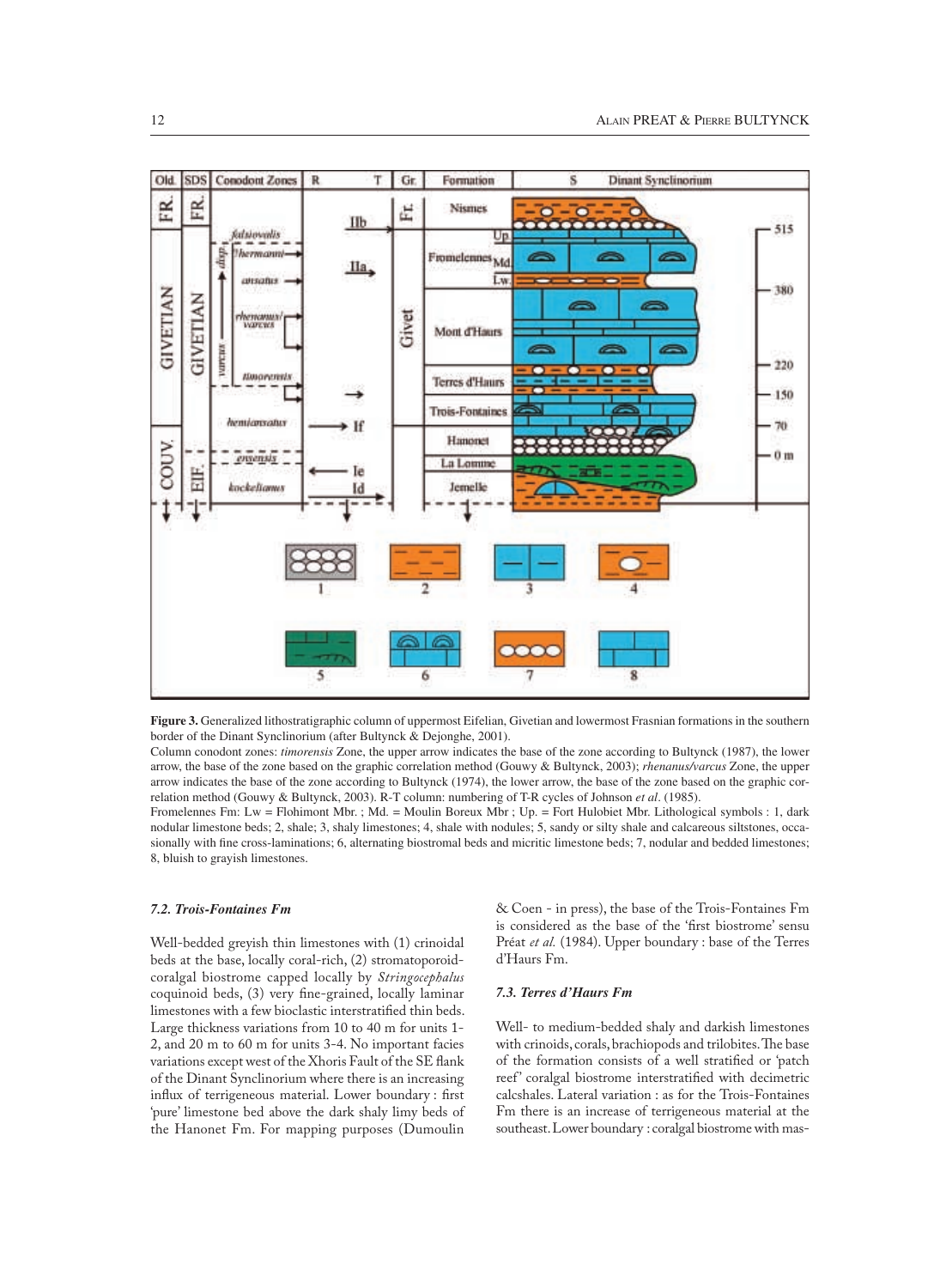

**Figure 3.** Generalized lithostratigraphic column of uppermost Eifelian, Givetian and lowermost Frasnian formations in the southern border of the Dinant Synclinorium (after Bultynck & Dejonghe, 2001).

Column conodont zones: *timorensis* Zone, the upper arrow indicates the base of the zone according to Bultynck (1987), the lower arrow, the base of the zone based on the graphic correlation method (Gouwy & Bultynck, 2003); *rhenanus/varcus* Zone, the upper arrow indicates the base of the zone according to Bultynck (1974), the lower arrow, the base of the zone based on the graphic correlation method (Gouwy & Bultynck, 2003). R-T column: numbering of T-R cycles of Johnson *et al*. (1985).

Fromelennes Fm: Lw = Flohimont Mbr. ; Md. = Moulin Boreux Mbr ; Up. = Fort Hulobiet Mbr. Lithological symbols : 1, dark nodular limestone beds; 2, shale; 3, shaly limestones; 4, shale with nodules; 5, sandy or silty shale and calcareous siltstones, occasionally with fine cross-laminations; 6, alternating biostromal beds and micritic limestone beds; 7, nodular and bedded limestones; 8, bluish to grayish limestones.

## *7.2. Trois-Fontaines Fm*

Well-bedded greyish thin limestones with (1) crinoidal beds at the base, locally coral-rich, (2) stromatoporoidcoralgal biostrome capped locally by *Stringocephalus* coquinoid beds, (3) very fine-grained, locally laminar limestones with a few bioclastic interstratified thin beds. Large thickness variations from 10 to 40 m for units 1- 2, and 20 m to 60 m for units 3-4. No important facies variations except west of the Xhoris Fault of the SE flank of the Dinant Synclinorium where there is an increasing influx of terrigeneous material. Lower boundary : first 'pure' limestone bed above the dark shaly limy beds of the Hanonet Fm. For mapping purposes (Dumoulin

& Coen - in press), the base of the Trois-Fontaines Fm is considered as the base of the 'first biostrome' sensu Préat *et al.* (1984). Upper boundary : base of the Terres d'Haurs Fm.

## *7.3. Terres d'Haurs Fm*

Well- to medium-bedded shaly and darkish limestones with crinoids, corals, brachiopods and trilobites. The base of the formation consists of a well stratified or 'patch reef' coralgal biostrome interstratified with decimetric calcshales. Lateral variation : as for the Trois-Fontaines Fm there is an increase of terrigeneous material at the southeast. Lower boundary : coralgal biostrome with mas-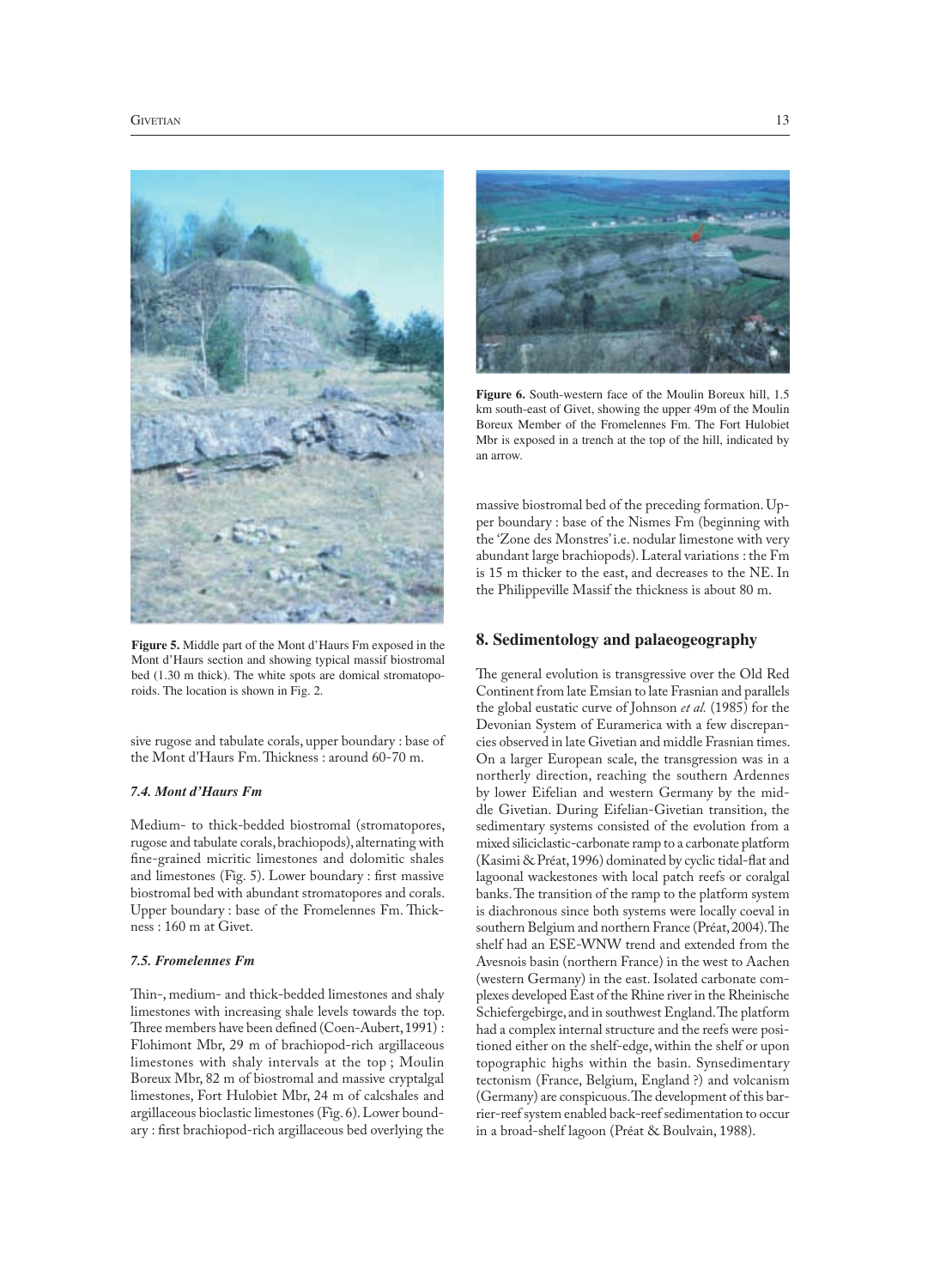

**Figure 5.** Middle part of the Mont d'Haurs Fm exposed in the Mont d'Haurs section and showing typical massif biostromal bed (1.30 m thick). The white spots are domical stromatoporoids. The location is shown in Fig. 2.

sive rugose and tabulate corals, upper boundary : base of the Mont d'Haurs Fm. Thickness : around 60-70 m.

## *7.4. Mont d'Haurs Fm*

Medium- to thick-bedded biostromal (stromatopores, rugose and tabulate corals, brachiopods), alternating with fine-grained micritic limestones and dolomitic shales and limestones (Fig. 5). Lower boundary : first massive biostromal bed with abundant stromatopores and corals. Upper boundary : base of the Fromelennes Fm. Thickness : 160 m at Givet.

## *7.5. Fromelennes Fm*

Thin-, medium- and thick-bedded limestones and shaly limestones with increasing shale levels towards the top. Three members have been defined (Coen-Aubert, 1991) : Flohimont Mbr, 29 m of brachiopod-rich argillaceous limestones with shaly intervals at the top ; Moulin Boreux Mbr, 82 m of biostromal and massive cryptalgal limestones, Fort Hulobiet Mbr, 24 m of calcshales and argillaceous bioclastic limestones (Fig. 6). Lower boundary : first brachiopod-rich argillaceous bed overlying the



**Figure 6.** South-western face of the Moulin Boreux hill, 1.5 km south-east of Givet, showing the upper 49m of the Moulin Boreux Member of the Fromelennes Fm. The Fort Hulobiet Mbr is exposed in a trench at the top of the hill, indicated by an arrow.

massive biostromal bed of the preceding formation. Upper boundary : base of the Nismes Fm (beginning with the 'Zone des Monstres' i.e. nodular limestone with very abundant large brachiopods). Lateral variations : the Fm is 15 m thicker to the east, and decreases to the NE. In the Philippeville Massif the thickness is about 80 m.

### **8. Sedimentology and palaeogeography**

The general evolution is transgressive over the Old Red Continent from late Emsian to late Frasnian and parallels the global eustatic curve of Johnson *et al.* (1985) for the Devonian System of Euramerica with a few discrepancies observed in late Givetian and middle Frasnian times. On a larger European scale, the transgression was in a northerly direction, reaching the southern Ardennes by lower Eifelian and western Germany by the middle Givetian. During Eifelian-Givetian transition, the sedimentary systems consisted of the evolution from a mixed siliciclastic-carbonate ramp to a carbonate platform (Kasimi & Préat, 1996) dominated by cyclic tidal-flat and lagoonal wackestones with local patch reefs or coralgal banks. The transition of the ramp to the platform system is diachronous since both systems were locally coeval in southern Belgium and northern France (Préat, 2004). The shelf had an ESE-WNW trend and extended from the Avesnois basin (northern France) in the west to Aachen (western Germany) in the east. Isolated carbonate complexes developed East of the Rhine river in the Rheinische Schiefergebirge, and in southwest England. The platform had a complex internal structure and the reefs were positioned either on the shelf-edge, within the shelf or upon topographic highs within the basin. Synsedimentary tectonism (France, Belgium, England ?) and volcanism (Germany) are conspicuous. The development of this barrier-reef system enabled back-reef sedimentation to occur in a broad-shelf lagoon (Préat & Boulvain, 1988).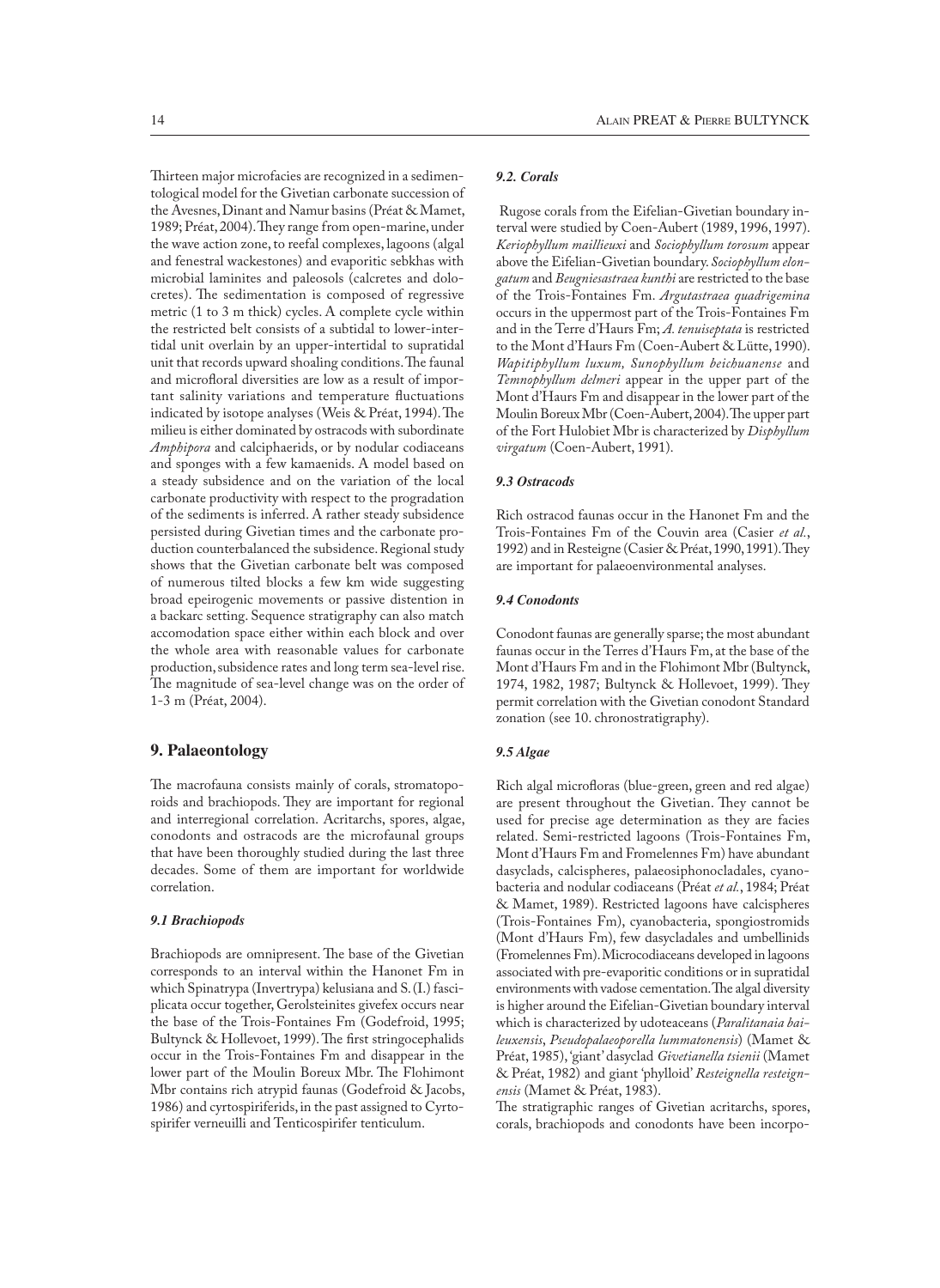Thirteen major microfacies are recognized in a sedimentological model for the Givetian carbonate succession of the Avesnes, Dinant and Namur basins (Préat & Mamet, 1989; Préat, 2004). They range from open-marine, under the wave action zone, to reefal complexes, lagoons (algal and fenestral wackestones) and evaporitic sebkhas with microbial laminites and paleosols (calcretes and dolocretes). The sedimentation is composed of regressive metric (1 to 3 m thick) cycles. A complete cycle within the restricted belt consists of a subtidal to lower-intertidal unit overlain by an upper-intertidal to supratidal unit that records upward shoaling conditions. The faunal and microfloral diversities are low as a result of important salinity variations and temperature fluctuations indicated by isotope analyses (Weis & Préat, 1994). The milieu is either dominated by ostracods with subordinate *Amphipora* and calciphaerids, or by nodular codiaceans and sponges with a few kamaenids. A model based on a steady subsidence and on the variation of the local carbonate productivity with respect to the progradation of the sediments is inferred. A rather steady subsidence persisted during Givetian times and the carbonate production counterbalanced the subsidence. Regional study shows that the Givetian carbonate belt was composed of numerous tilted blocks a few km wide suggesting broad epeirogenic movements or passive distention in a backarc setting. Sequence stratigraphy can also match accomodation space either within each block and over the whole area with reasonable values for carbonate production, subsidence rates and long term sea-level rise. The magnitude of sea-level change was on the order of 1-3 m (Préat, 2004).

# **9. Palaeontology**

The macrofauna consists mainly of corals, stromatoporoids and brachiopods. They are important for regional and interregional correlation. Acritarchs, spores, algae, conodonts and ostracods are the microfaunal groups that have been thoroughly studied during the last three decades. Some of them are important for worldwide correlation.

# *9.1 Brachiopods*

Brachiopods are omnipresent. The base of the Givetian corresponds to an interval within the Hanonet Fm in which Spinatrypa (Invertrypa) kelusiana and S. (I.) fasciplicata occur together, Gerolsteinites givefex occurs near the base of the Trois-Fontaines Fm (Godefroid, 1995; Bultynck & Hollevoet, 1999). The first stringocephalids occur in the Trois-Fontaines Fm and disappear in the lower part of the Moulin Boreux Mbr. The Flohimont Mbr contains rich atrypid faunas (Godefroid & Jacobs, 1986) and cyrtospiriferids, in the past assigned to Cyrtospirifer verneuilli and Tenticospirifer tenticulum.

# *9.2. Corals*

 Rugose corals from the Eifelian-Givetian boundary interval were studied by Coen-Aubert (1989, 1996, 1997). *Keriophyllum maillieuxi* and *Sociophyllum torosum* appear above the Eifelian-Givetian boundary. *Sociophyllum elongatum* and *Beugniesastraea kunthi* are restricted to the base of the Trois-Fontaines Fm. *Argutastraea quadrigemina* occurs in the uppermost part of the Trois-Fontaines Fm and in the Terre d'Haurs Fm; *A. tenuiseptata* is restricted to the Mont d'Haurs Fm (Coen-Aubert & Lütte, 1990). *Wapitiphyllum luxum, Sunophyllum beichuanense* and *Temnophyllum delmeri* appear in the upper part of the Mont d'Haurs Fm and disappear in the lower part of the Moulin Boreux Mbr (Coen-Aubert, 2004). The upper part of the Fort Hulobiet Mbr is characterized by *Disphyllum virgatum* (Coen-Aubert, 1991).

# *9.3 Ostracods*

Rich ostracod faunas occur in the Hanonet Fm and the Trois-Fontaines Fm of the Couvin area (Casier *et al.*, 1992) and in Resteigne (Casier & Préat, 1990, 1991). They are important for palaeoenvironmental analyses.

## *9.4 Conodonts*

Conodont faunas are generally sparse; the most abundant faunas occur in the Terres d'Haurs Fm, at the base of the Mont d'Haurs Fm and in the Flohimont Mbr (Bultynck, 1974, 1982, 1987; Bultynck & Hollevoet, 1999). They permit correlation with the Givetian conodont Standard zonation (see 10. chronostratigraphy).

## *9.5 Algae*

Rich algal microfloras (blue-green, green and red algae) are present throughout the Givetian. They cannot be used for precise age determination as they are facies related. Semi-restricted lagoons (Trois-Fontaines Fm, Mont d'Haurs Fm and Fromelennes Fm) have abundant dasyclads, calcispheres, palaeosiphonocladales, cyanobacteria and nodular codiaceans (Préat *et al.*, 1984; Préat & Mamet, 1989). Restricted lagoons have calcispheres (Trois-Fontaines Fm), cyanobacteria, spongiostromids (Mont d'Haurs Fm), few dasycladales and umbellinids (Fromelennes Fm). Microcodiaceans developed in lagoons associated with pre-evaporitic conditions or in supratidal environments with vadose cementation. The algal diversity is higher around the Eifelian-Givetian boundary interval which is characterized by udoteaceans (*Paralitanaia baileuxensis*, *Pseudopalaeoporella lummatonensis*) (Mamet & Préat, 1985), 'giant' dasyclad *Givetianella tsienii* (Mamet & Préat, 1982) and giant 'phylloid' *Resteignella resteignensis* (Mamet & Préat, 1983).

The stratigraphic ranges of Givetian acritarchs, spores, corals, brachiopods and conodonts have been incorpo-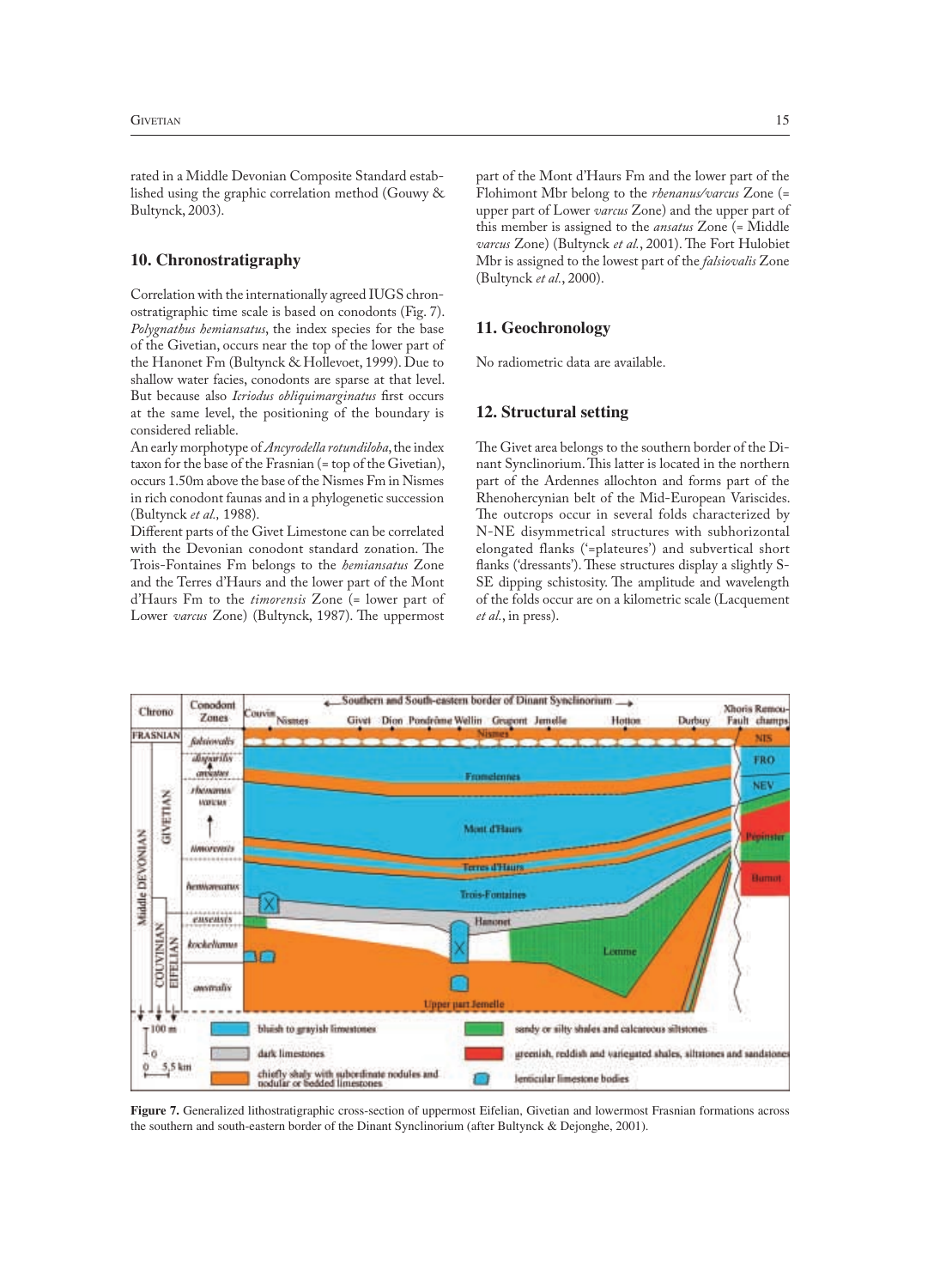rated in a Middle Devonian Composite Standard established using the graphic correlation method (Gouwy & Bultynck, 2003).

## **10. Chronostratigraphy**

Correlation with the internationally agreed IUGS chronostratigraphic time scale is based on conodonts (Fig. 7). *Polygnathus hemiansatus*, the index species for the base of the Givetian, occurs near the top of the lower part of the Hanonet Fm (Bultynck & Hollevoet, 1999). Due to shallow water facies, conodonts are sparse at that level. But because also *Icriodus obliquimarginatus* first occurs at the same level, the positioning of the boundary is considered reliable.

An early morphotype of *Ancyrodella rotundiloba*, the index taxon for the base of the Frasnian (= top of the Givetian), occurs 1.50m above the base of the Nismes Fm in Nismes in rich conodont faunas and in a phylogenetic succession (Bultynck *et al.,* 1988).

Different parts of the Givet Limestone can be correlated with the Devonian conodont standard zonation. The Trois-Fontaines Fm belongs to the *hemiansatus* Zone and the Terres d'Haurs and the lower part of the Mont d'Haurs Fm to the *timorensis* Zone (= lower part of Lower *varcus* Zone) (Bultynck, 1987). The uppermost

part of the Mont d'Haurs Fm and the lower part of the Flohimont Mbr belong to the *rhenanus/varcus* Zone (= upper part of Lower *varcus* Zone) and the upper part of this member is assigned to the *ansatus* Zone (= Middle *varcus* Zone) (Bultynck *et al.*, 2001). The Fort Hulobiet Mbr is assigned to the lowest part of the *falsiovalis* Zone (Bultynck *et al.*, 2000).

## **11. Geochronology**

No radiometric data are available.

## **12. Structural setting**

The Givet area belongs to the southern border of the Dinant Synclinorium. This latter is located in the northern part of the Ardennes allochton and forms part of the Rhenohercynian belt of the Mid-European Variscides. The outcrops occur in several folds characterized by N-NE disymmetrical structures with subhorizontal elongated flanks ('=plateures') and subvertical short flanks ('dressants'). These structures display a slightly S-SE dipping schistosity. The amplitude and wavelength of the folds occur are on a kilometric scale (Lacquement *et al.*, in press).



**Figure 7.** Generalized lithostratigraphic cross-section of uppermost Eifelian, Givetian and lowermost Frasnian formations across the southern and south-eastern border of the Dinant Synclinorium (after Bultynck & Dejonghe, 2001).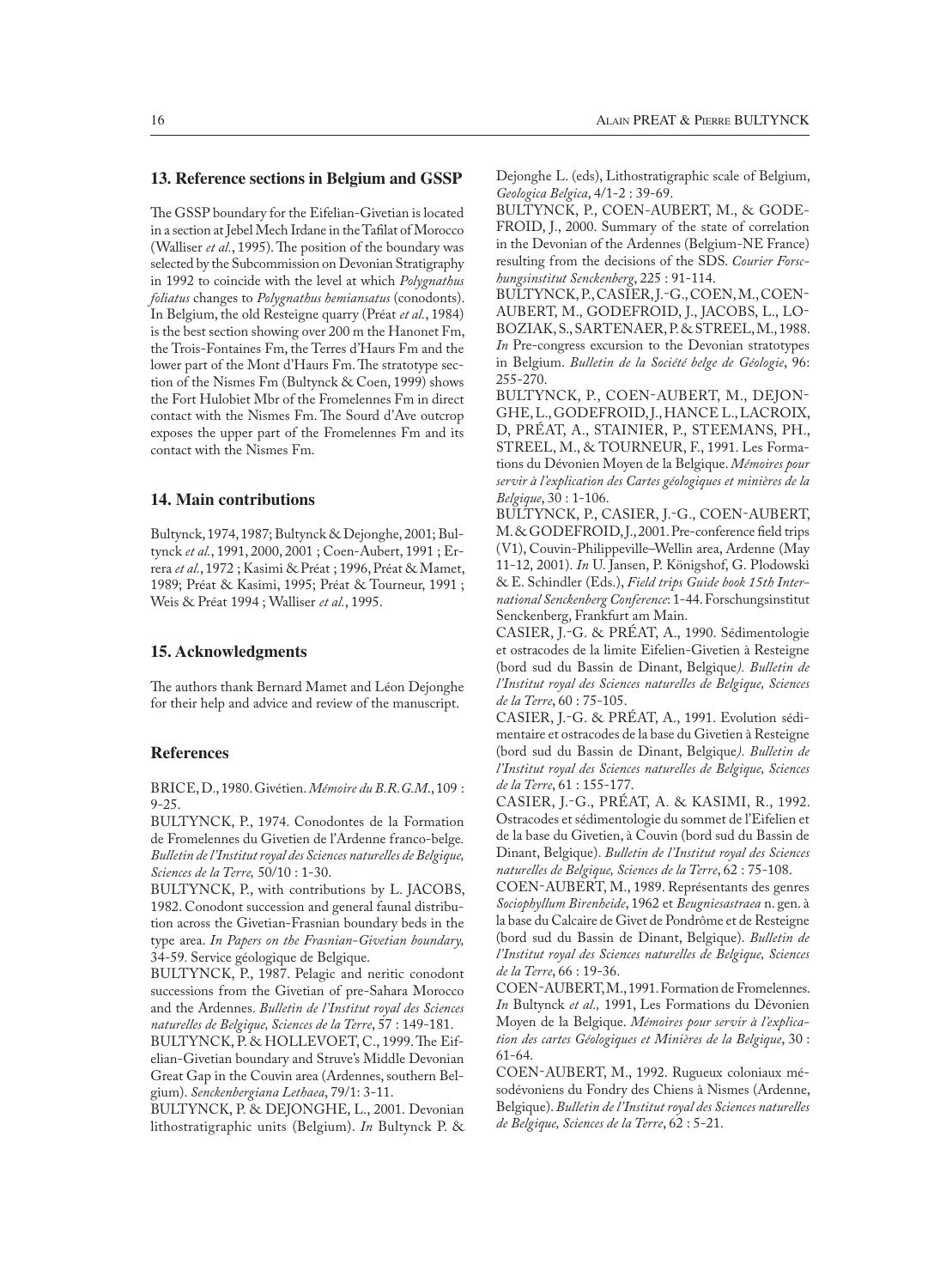### **13. Reference sections in Belgium and GSSP**

The GSSP boundary for the Eifelian-Givetian is located in a section at Jebel Mech Irdane in the Tafilat of Morocco (Walliser *et al.*, 1995). The position of the boundary was selected by the Subcommission on Devonian Stratigraphy in 1992 to coincide with the level at which *Polygnathus foliatus* changes to *Polygnathus hemiansatus* (conodonts). In Belgium, the old Resteigne quarry (Préat *et al.*, 1984) is the best section showing over 200 m the Hanonet Fm, the Trois-Fontaines Fm, the Terres d'Haurs Fm and the lower part of the Mont d'Haurs Fm. The stratotype section of the Nismes Fm (Bultynck & Coen, 1999) shows the Fort Hulobiet Mbr of the Fromelennes Fm in direct contact with the Nismes Fm. The Sourd d'Ave outcrop exposes the upper part of the Fromelennes Fm and its contact with the Nismes Fm.

### **14. Main contributions**

Bultynck, 1974, 1987; Bultynck & Dejonghe, 2001; Bultynck *et al.*, 1991, 2000, 2001 ; Coen-Aubert, 1991 ; Errera *et al.*, 1972 ; Kasimi & Préat ; 1996, Préat & Mamet, 1989; Préat & Kasimi, 1995; Préat & Tourneur, 1991 ; Weis & Préat 1994 ; Walliser *et al.*, 1995.

## **15. Acknowledgments**

The authors thank Bernard Mamet and Léon Dejonghe for their help and advice and review of the manuscript.

### **References**

BRICE, D., 1980. Givétien. *Mémoire du B.R.G.M*., 109 : 9-25.

BULTYNCK, P., 1974. Conodontes de la Formation de Fromelennes du Givetien de l'Ardenne franco-belge*. Bulletin de l'Institut royal des Sciences naturelles de Belgique, Sciences de la Terre,* 50/10 : 1-30.

BULTYNCK, P., with contributions by L. JACOBS, 1982. Conodont succession and general faunal distribution across the Givetian-Frasnian boundary beds in the type area. *In Papers on the Frasnian-Givetian boundary,*  34-59*.* Service géologique de Belgique.

BULTYNCK, P., 1987. Pelagic and neritic conodont successions from the Givetian of pre-Sahara Morocco and the Ardennes. *Bulletin de l'Institut royal des Sciences naturelles de Belgique, Sciences de la Terre*, 57 : 149-181.

BULTYNCK, P. & HOLLEVOET, C., 1999. The Eifelian-Givetian boundary and Struve's Middle Devonian Great Gap in the Couvin area (Ardennes, southern Belgium). *Senckenbergiana Lethaea*, 79/1: 3-11.

BULTYNCK, P. & DEJONGHE, L., 2001. Devonian lithostratigraphic units (Belgium). *In* Bultynck P. & Dejonghe L. (eds), Lithostratigraphic scale of Belgium, *Geologica Belgica*, 4/1-2 : 39-69.

BULTYNCK, P., COEN-AUBERT, M., & GODE-FROID, J., 2000. Summary of the state of correlation in the Devonian of the Ardennes (Belgium-NE France) resulting from the decisions of the SDS. *Courier Forschungsinstitut Senckenberg*, 225 : 91-114.

BULTYNCK, P., CASIER, J.-G., COEN, M., COEN-AUBERT, M., GODEFROID, J., JACOBS, L., LO BOZIAK, S., SARTENAER, P. & STREEL, M., 1988. *In* Pre-congress excursion to the Devonian stratotypes in Belgium. *Bulletin de la Société belge de Géologie*, 96: 255-270.

BULTYNCK, P., COEN-AUBERT, M., DEJON-GHE, L., GODEFROID, J., HANCE L., LACROIX, D, PRÉAT, A., STAINIER, P., STEEMANS, PH., STREEL, M., & TOURNEUR, F., 1991. Les Formations du Dévonien Moyen de la Belgique. *Mémoires pour servir à l'explication des Cartes géologiques et minières de la Belgique*, 30 : 1-106.

BULTYNCK, P., CASIER, J.-G., COEN-AUBERT, M. & GODEFROID, J., 2001. Pre-conference field trips (V1), Couvin-Philippeville–Wellin area, Ardenne (May 11-12, 2001). *In* U. Jansen, P. Königshof, G. Plodowski & E. Schindler (Eds.), *Field trips Guide book 15th International Senckenberg Conference*: 1-44. Forschungsinstitut Senckenberg, Frankfurt am Main.

CASIER, J.-G. & PREAT, A., 1990. Sédimentologie et ostracodes de la limite Eifelien-Givetien à Resteigne (bord sud du Bassin de Dinant, Belgique*). Bulletin de l'Institut royal des Sciences naturelles de Belgique, Sciences de la Terre*, 60 : 75-105.

CASIER, J.-G. & PREAT, A., 1991. Evolution sédimentaire et ostracodes de la base du Givetien à Resteigne (bord sud du Bassin de Dinant, Belgique*). Bulletin de l'Institut royal des Sciences naturelles de Belgique, Sciences de la Terre*, 61 : 155-177.

CASIER, J.G., PRÉAT, A. & KASIMI, R., 1992. Ostracodes et sédimentologie du sommet de l'Eifelien et de la base du Givetien, à Couvin (bord sud du Bassin de Dinant, Belgique). *Bulletin de l'Institut royal des Sciences naturelles de Belgique, Sciences de la Terre*, 62 : 75-108.

COEN-AUBERT, M., 1989. Représentants des genres *Sociophyllum Birenheide*, 1962 et *Beugniesastraea* n. gen. à la base du Calcaire de Givet de Pondrôme et de Resteigne (bord sud du Bassin de Dinant, Belgique). *Bulletin de l'Institut royal des Sciences naturelles de Belgique, Sciences de la Terre*, 66 : 19-36.

COEN-AUBERT, M., 1991. Formation de Fromelennes. *In* Bultynck *et al.,* 1991, Les Formations du Dévonien Moyen de la Belgique. *Mémoires pour servir à l'explication des cartes Géologiques et Minières de la Belgique*, 30 : 61-64.

COEN-AUBERT, M., 1992. Rugueux coloniaux mésodévoniens du Fondry des Chiens à Nismes (Ardenne, Belgique). *Bulletin de l'Institut royal des Sciences naturelles de Belgique, Sciences de la Terre*, 62 : 5-21.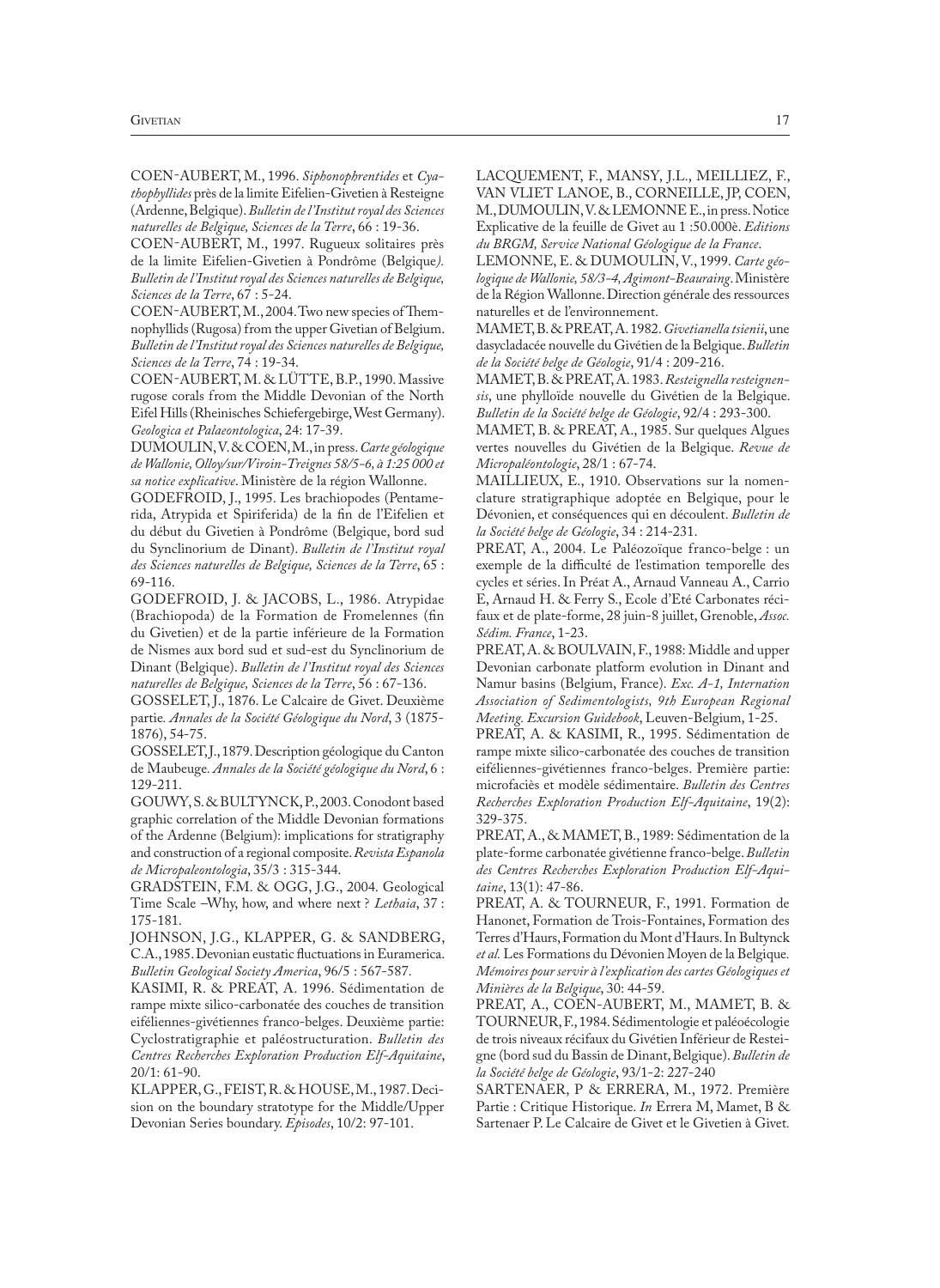COEN-AUBERT, M., 1996. *Siphonophrentides* et *Cyathophyllides* près de la limite Eifelien-Givetien à Resteigne (Ardenne, Belgique). *Bulletin de l'Institut royal des Sciences naturelles de Belgique, Sciences de la Terre*, 66 : 19-36.

COEN-AUBERT, M., 1997. Rugueux solitaires près de la limite Eifelien-Givetien à Pondrôme (Belgique*). Bulletin de l'Institut royal des Sciences naturelles de Belgique, Sciences de la Terre*, 67 : 5-24.

COEN-AUBERT, M., 2004. Two new species of Themnophyllids (Rugosa) from the upper Givetian of Belgium. *Bulletin de l'Institut royal des Sciences naturelles de Belgique, Sciences de la Terre*, 74 : 19-34.

COEN-AUBERT, M. & LÜTTE, B.P., 1990. Massive rugose corals from the Middle Devonian of the North Eifel Hills (Rheinisches Schiefergebirge, West Germany). *Geologica et Palaeontologica*, 24: 17-39.

DUMOULIN, V. & COEN, M., in press. *Carte géologique de Wallonie, Olloy/sur/Viroin-Treignes 58/5-6, à 1:25 000 et sa notice explicative*. Ministère de la région Wallonne.

GODEFROID, J., 1995. Les brachiopodes (Pentamerida, Atrypida et Spiriferida) de la fin de l'Eifelien et du début du Givetien à Pondrôme (Belgique, bord sud du Synclinorium de Dinant). *Bulletin de l'Institut royal des Sciences naturelles de Belgique, Sciences de la Terre*, 65 : 69-116.

GODEFROID, J. & JACOBS, L., 1986. Atrypidae (Brachiopoda) de la Formation de Fromelennes (fin du Givetien) et de la partie inférieure de la Formation de Nismes aux bord sud et sud-est du Synclinorium de Dinant (Belgique). *Bulletin de l'Institut royal des Sciences naturelles de Belgique, Sciences de la Terre*, 56 : 67-136.

GOSSELET, J., 1876. Le Calcaire de Givet. Deuxième partie*. Annales de la Société Géologique du Nord*, 3 (1875- 1876), 54-75.

GOSSELET, J., 1879. Description géologique du Canton de Maubeuge*. Annales de la Société géologique du Nord*, 6 : 129-211.

GOUWY, S. & BULTYNCK, P., 2003. Conodont based graphic correlation of the Middle Devonian formations of the Ardenne (Belgium): implications for stratigraphy and construction of a regional composite. *Revista Espanola de Micropaleontologia*, 35/3 : 315-344.

GRADSTEIN, F.M. & OGG, J.G., 2004. Geological Time Scale –Why, how, and where next ? *Lethaia*, 37 : 175-181.

JOHNSON, J.G., KLAPPER, G. & SANDBERG, C.A., 1985. Devonian eustatic fluctuations in Euramerica. *Bulletin Geological Society America*, 96/5 : 567-587.

KASIMI, R. & PREAT, A. 1996. Sédimentation de rampe mixte silico-carbonatée des couches de transition eiféliennes-givétiennes franco-belges. Deuxième partie: Cyclostratigraphie et paléostructuration. *Bulletin des Centres Recherches Exploration Production Elf-Aquitaine*, 20/1: 61-90.

KLAPPER, G., FEIST, R. & HOUSE, M., 1987. Decision on the boundary stratotype for the Middle/Upper Devonian Series boundary. *Episodes*, 10/2: 97-101.

LACQUEMENT, F., MANSY, J.L., MEILLIEZ, F., VAN VLIET LANOE, B., CORNEILLE, JP, COEN, M., DUMOULIN, V. & LEMONNE E., in press. Notice Explicative de la feuille de Givet au 1 :50.000è. *Editions du BRGM, Service National Géologique de la France*.

LEMONNE, E. & DUMOULIN, V., 1999. *Carte géologique de Wallonie, 58/3-4, Agimont-Beauraing*. Ministère de la Région Wallonne. Direction générale des ressources naturelles et de l'environnement.

MAMET, B. & PREAT, A. 1982. *Givetianella tsienii*, une dasycladacée nouvelle du Givétien de la Belgique. *Bulletin de la Société belge de Géologie*, 91/4 : 209-216.

MAMET, B. & PREAT, A. 1983. *Resteignella resteignensis*, une phylloïde nouvelle du Givétien de la Belgique. *Bulletin de la Société belge de Géologie*, 92/4 : 293-300.

MAMET, B. & PREAT, A., 1985. Sur quelques Algues vertes nouvelles du Givétien de la Belgique. *Revue de Micropaléontologie*, 28/1 : 67-74.

MAILLIEUX, E., 1910. Observations sur la nomenclature stratigraphique adoptée en Belgique, pour le Dévonien, et conséquences qui en découlent. *Bulletin de la Société belge de Géologie*, 34 : 214-231.

PREAT, A., 2004. Le Paléozoïque franco-belge : un exemple de la difficulté de l'estimation temporelle des cycles et séries. In Préat A., Arnaud Vanneau A., Carrio E, Arnaud H. & Ferry S., Ecole d'Eté Carbonates récifaux et de plate-forme, 28 juin-8 juillet, Grenoble, *Assoc. Sédim. France*, 1-23.

PREAT, A. & BOULVAIN, F., 1988: Middle and upper Devonian carbonate platform evolution in Dinant and Namur basins (Belgium, France). *Exc. A-1, Internation Association of Sedimentologists, 9th European Regional Meeting. Excursion Guidebook*, Leuven-Belgium, 1-25.

PREAT, A. & KASIMI, R., 1995. Sédimentation de rampe mixte silico-carbonatée des couches de transition eiféliennes-givétiennes franco-belges. Première partie: microfaciès et modèle sédimentaire. *Bulletin des Centres Recherches Exploration Production Elf-Aquitaine*, 19(2): 329-375.

PREAT, A., & MAMET, B., 1989: Sédimentation de la plate-forme carbonatée givétienne franco-belge. *Bulletin des Centres Recherches Exploration Production Elf-Aquitaine*, 13(1): 47-86.

PREAT, A. & TOURNEUR, F., 1991. Formation de Hanonet, Formation de Trois-Fontaines, Formation des Terres d'Haurs, Formation du Mont d'Haurs. In Bultynck *et al.* Les Formations du Dévonien Moyen de la Belgique*. Mémoires pour servir à l'explication des cartes Géologiques et Minières de la Belgique*, 30: 44-59.

PREAT, A., COEN-AUBERT, M., MAMET, B. & TOURNEUR, F., 1984. Sédimentologie et paléoécologie de trois niveaux récifaux du Givétien Inférieur de Resteigne (bord sud du Bassin de Dinant, Belgique). *Bulletin de la Société belge de Géologie*, 93/1-2: 227-240

SARTENAER, P & ERRERA, M., 1972. Première Partie : Critique Historique. *In* Errera M, Mamet, B & Sartenaer P. Le Calcaire de Givet et le Givetien à Givet*.*